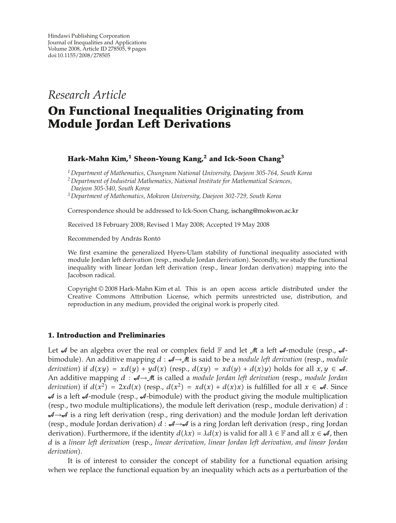*Research Article*

# **On Functional Inequalities Originating from Module Jordan Left Derivations**

## **Hark-Mahn Kim,<sup>1</sup> Sheon-Young Kang,<sup>2</sup> and Ick-Soon Chang3**

*<sup>1</sup> Department of Mathematics, Chungnam National University, Daejeon 305-764, South Korea*

*<sup>2</sup> Department of Industrial Mathematics, National Institute for Mathematical Sciences,*

*<sup>3</sup> Department of Mathematics, Mokwon University, Daejeon 302-729, South Korea*

Correspondence should be addressed to Ick-Soon Chang, ischang@mokwon.ac.kr

Received 18 February 2008; Revised 1 May 2008; Accepted 19 May 2008

Recommended by András Rontó

We first examine the generalized Hyers-Ulam stability of functional inequality associated with module Jordan left derivation (resp., module Jordan derivation). Secondly, we study the functional inequality with linear Jordan left derivation (resp., linear Jordan derivation) mapping into the Jacobson radical.

Copyright © 2008 Hark-Mahn Kim et al. This is an open access article distributed under the Creative Commons Attribution License, which permits unrestricted use, distribution, and reproduction in any medium, provided the original work is properly cited.

### **1. Introduction and Preliminaries**

Let  $A$  be an algebra over the real or complex field  $\mathbb F$  and let  $M$  a left  $A$ -module (resp.,  $A$ bimodule). An additive mapping  $d : \mathcal{A} \rightarrow \mathcal{M}$  is said to be a *module left derivation* (resp., *module derivation*) if  $d(xy) = xd(y) + yd(x)$  (resp.,  $d(xy) = xd(y) + d(x)y$ ) holds for all  $x, y \in \mathcal{A}$ . An additive mapping *d* : *4*→*M* is called a module Jordan left derivation (resp., module Jordan *derivation*) if  $d(x^2) = 2xd(x)$  (resp.,  $d(x^2) = xd(x) + d(x)x$ ) is fulfilled for all  $x \in \mathcal{A}$ . Since  $A$  is a left  $A$ -module (resp.,  $A$ -bimodule) with the product giving the module multiplication (resp., two module multiplications), the module left derivation (resp., module derivation)  $d$ :  $A \rightarrow A$  is a ring left derivation (resp., ring derivation) and the module Jordan left derivation (resp., module Jordan derivation)  $d : \mathcal{A} \rightarrow \mathcal{A}$  is a ring Jordan left derivation (resp., ring Jordan derivation). Furthermore, if the identity  $d(\lambda x) = \lambda d(x)$  is valid for all  $\lambda \in \mathbb{F}$  and all  $x \in \mathcal{A}$ , then d is a linear left derivation (resp., linear derivation, linear Jordan left derivation, and linear Jordan *derivation*.

It is of interest to consider the concept of stability for a functional equation arising when we replace the functional equation by an inequality which acts as a perturbation of the

*Daejeon 305-340, South Korea*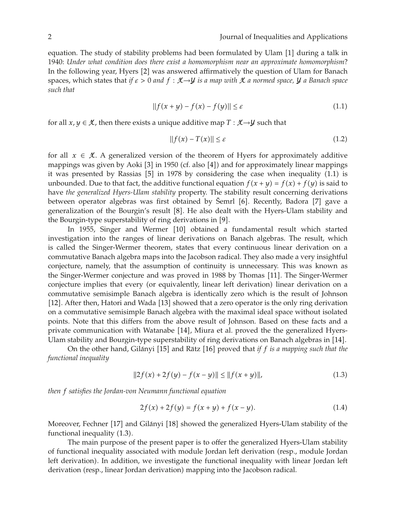equation. The study of stability problems had been formulated by Ulam [1] during a talk in 1940: *Under what condition does there exist a homomorphism near an approximate homomorphism*? In the following year, Hyers [2] was answered affirmatively the question of Ulam for Banach spaces, which states that *if ε >* <sup>0</sup> *and <sup>f</sup>* : X→Y *is a map with* <sup>X</sup> *a normed space,* <sup>Y</sup> *a Banach space such that*

$$
||f(x + y) - f(x) - f(y)|| \le \varepsilon \tag{1.1}
$$

for all  $x, y \in \mathcal{K}$ , then there exists a unique additive map  $T : \mathcal{K} \rightarrow \mathcal{Y}$  such that

$$
||f(x) - T(x)|| \le \varepsilon \tag{1.2}
$$

for all  $x \in \mathcal{K}$ . A generalized version of the theorem of Hyers for approximately additive mappings was given by Aoki [3] in 1950 (cf. also [4]) and for approximately linear mappings it was presented by Rassias  $[5]$  in 1978 by considering the case when inequality  $(1.1)$  is unbounded. Due to that fact, the additive functional equation  $f(x + y) = f(x) + f(y)$  is said to have *the generalized Hyers-Ulam stability* property. The stability result concerning derivations between operator algebras was first obtained by Šemrl [6]. Recently, Badora [7] gave a generalization of the Bourgin's result [8]. He also dealt with the Hyers-Ulam stability and the Bourgin-type superstability of ring derivations in [9].

In 1955, Singer and Wermer [10] obtained a fundamental result which started investigation into the ranges of linear derivations on Banach algebras. The result, which is called the Singer-Wermer theorem, states that every continuous linear derivation on a commutative Banach algebra maps into the Jacobson radical. They also made a very insightful conjecture, namely, that the assumption of continuity is unnecessary. This was known as the Singer-Wermer conjecture and was proved in 1988 by Thomas [11]. The Singer-Wermer conjecture implies that every (or equivalently, linear left derivation) linear derivation on a commutative semisimple Banach algebra is identically zero which is the result of Johnson [12]. After then, Hatori and Wada [13] showed that a zero operator is the only ring derivation on a commutative semisimple Banach algebra with the maximal ideal space without isolated points. Note that this differs from the above result of Johnson. Based on these facts and a private communication with Watanabe [14], Miura et al. proved the the generalized Hyers-Ulam stability and Bourgin-type superstability of ring derivations on Banach algebras in [14].

On the other hand, Gilányi <sup>[15]</sup> and Rätz <sup>[16]</sup> proved that *if f is a mapping such that the functional inequality*

$$
||2f(x) + 2f(y) - f(x - y)|| \le ||f(x + y)||,
$$
\n(1.3)

*then f satisfies the Jordan-von Neumann functional equation*

$$
2f(x) + 2f(y) = f(x + y) + f(x - y).
$$
 (1.4)

Moreover, Fechner [17] and Gilányi [18] showed the generalized Hyers-Ulam stability of the functional inequality  $(1.3)$ .

The main purpose of the present paper is to offer the generalized Hyers-Ulam stability of functional inequality associated with module Jordan left derivation (resp., module Jordan left derivation). In addition, we investigate the functional inequality with linear Jordan left derivation (resp., linear Jordan derivation) mapping into the Jacobson radical.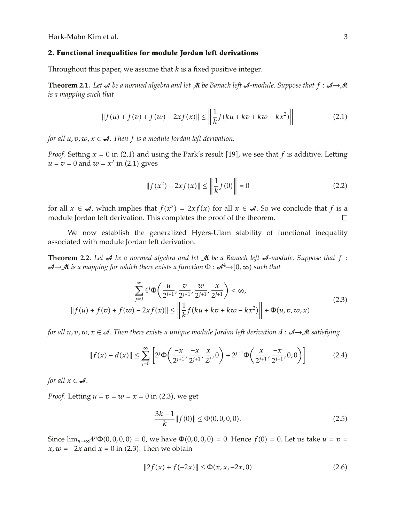Hark-Mahn Kim et al. 3

### **2. Functional inequalities for module Jordan left derivations**

Throughout this paper, we assume that *k* is a fixed positive integer.

**Theorem 2.1.** Let  $\mathcal A$  be a normed algebra and let  $\mathcal M$  be Banach left  $\mathcal A$ -module. Suppose that  $f : \mathcal A \rightarrow \mathcal M$ *is a mapping such that*

$$
||f(u) + f(v) + f(w) - 2xf(x)|| \le \left\| \frac{1}{k} f(ku + kv + kw - kx^{2}) \right\|
$$
 (2.1)

*for all*  $u, v, w, x \in \mathcal{A}$ . *Then f is a module Jordan left derivation.* 

*Proof.* Setting  $x = 0$  in (2.1) and using the Park's result [19], we see that  $f$  is additive. Letting  $u = v = 0$  and  $w = x^2$  in (2.1) gives

$$
||f(x^{2}) - 2xf(x)|| \le \left\| \frac{1}{k}f(0) \right\| = 0
$$
\n(2.2)

for all  $x \in \mathcal{A}$ , which implies that  $f(x^2) = 2xf(x)$  for all  $x \in \mathcal{A}$ . So we conclude that  $f$  is a module Jordan left derivation. This completes the proof of the theorem.

We now establish the generalized Hyers-Ulam stability of functional inequality associated with module Jordan left derivation.

**Theorem 2.2.** Let  $\mathcal A$  be a normed algebra and let  $\mathcal M$  be a Banach left  $\mathcal A$ -module. Suppose that  $f$ : A→M *is a mapping for which there exists a function* <sup>Φ</sup> : <sup>A</sup><sup>4</sup>→0*,* <sup>∞</sup> *such that*

$$
\sum_{j=0}^{\infty} 4^j \Phi\left(\frac{u}{2^{j+1}}, \frac{v}{2^{j+1}}, \frac{w}{2^{j+1}}, \frac{x}{2^{j+1}}\right) < \infty,
$$
\n
$$
||f(u) + f(v) + f(w) - 2xf(x)|| \le \left\|\frac{1}{k}f(ku + kv + kw - kx^2)\right\| + \Phi(u, v, w, x)
$$
\n(2.3)

*for all*  $u, v, w, x \in \mathcal{A}$ . Then there exists a unique module Jordan left derivation  $d : \mathcal{A} \rightarrow \mathcal{M}$  satisfying

$$
||f(x) - d(x)|| \le \sum_{j=0}^{\infty} \left[ 2^{j} \Phi\left(\frac{-x}{2^{j+1}}, \frac{-x}{2^{j+1}}, \frac{x}{2^{j}}, 0\right) + 2^{j+1} \Phi\left(\frac{x}{2^{j+1}}, \frac{-x}{2^{j+1}}, 0, 0\right) \right]
$$
(2.4)

*for all*  $x \in \mathcal{A}$ *.* 

*Proof.* Letting  $u = v = w = x = 0$  in (2.3), we get

$$
\frac{3k-1}{k} \| f(0) \| \le \Phi(0,0,0,0). \tag{2.5}
$$

Since  $\lim_{n\to\infty} 4^n \Phi(0,0,0,0) = 0$ , we have  $\Phi(0,0,0,0) = 0$ . Hence  $f(0) = 0$ . Let us take  $u = v = 0$  $x, w = -2x$  and  $x = 0$  in (2.3). Then we obtain

$$
||2f(x) + f(-2x)|| \le \Phi(x, x, -2x, 0)
$$
\n(2.6)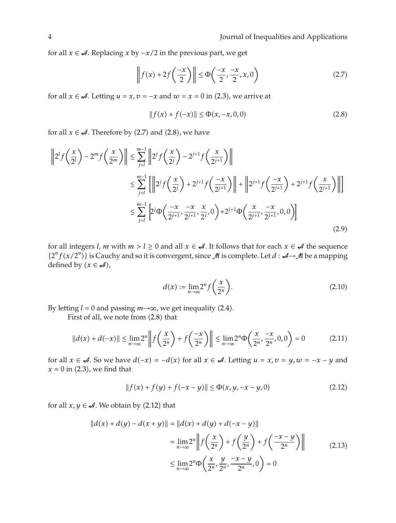for all *x* ∈  $\mathcal{A}$ *.* Replacing *x* by  $-x/2$  in the previous part, we get

$$
\left\| f(x) + 2f\left(\frac{-x}{2}\right) \right\| \le \Phi\left(\frac{-x}{2}, \frac{-x}{2}, x, 0\right) \tag{2.7}
$$

for all  $x \in \mathcal{A}$ . Letting  $u = x$ ,  $v = -x$  and  $w = x = 0$  in (2.3), we arrive at

$$
||f(x) + f(-x)|| \le \Phi(x, -x, 0, 0)
$$
\n(2.8)

for all  $x \in \mathcal{A}$ . Therefore by (2.7) and (2.8), we have

$$
\|2^{l} f\left(\frac{x}{2^{l}}\right) - 2^{m} f\left(\frac{x}{2^{m}}\right) \| \leq \sum_{j=l}^{m-1} \|2^{j} f\left(\frac{x}{2^{j}}\right) - 2^{j+1} f\left(\frac{x}{2^{j+1}}\right) \|
$$
  

$$
\leq \sum_{j=l}^{m-1} \left[ \left\|2^{j} f\left(\frac{x}{2^{j}}\right) + 2^{j+1} f\left(\frac{-x}{2^{j+1}}\right) \right\| + \left\|2^{j+1} f\left(\frac{-x}{2^{j+1}}\right) + 2^{j+1} f\left(\frac{x}{2^{j+1}}\right) \right\| \right]
$$
  

$$
\leq \sum_{j=l}^{m-1} \left[ 2^{j} \Phi\left(\frac{-x}{2^{j+1}}, \frac{-x}{2^{j+1}}, \frac{x}{2^{j}}, 0\right) + 2^{j+1} \Phi\left(\frac{x}{2^{j+1}}, \frac{-x}{2^{j+1}}, 0, 0\right) \right]
$$
(2.9)

for all integers *l*, *m* with  $m > l \ge 0$  and all  $x \in \mathcal{A}$ . It follows that for each  $x \in \mathcal{A}$  the sequence  ${2^n f(x/2^n)}$  is Cauchy and so it is convergent, since  $M$  is complete. Let  $d : A \rightarrow M$  be a mapping defined by  $(x \in \mathcal{A})$ ,

$$
d(x) := \lim_{n \to \infty} 2^n f\left(\frac{x}{2^n}\right). \tag{2.10}
$$

By letting  $l = 0$  and passing  $m \rightarrow \infty$ , we get inequality (2.4).

First of all, we note from  $(2.8)$  that

$$
||d(x) + d(-x)|| \le \lim_{n \to \infty} 2^n \left\| f\left(\frac{x}{2^n}\right) + f\left(\frac{-x}{2^n}\right) \right\| \le \lim_{n \to \infty} 2^n \Phi\left(\frac{x}{2^n}, \frac{-x}{2^n}, 0, 0\right) = 0 \tag{2.11}
$$

for all  $x \in \mathcal{A}$ . So we have  $d(-x) = -d(x)$  for all  $x \in \mathcal{A}$ . Letting  $u = x, v = y, w = -x - y$  and  $x = 0$  in  $(2.3)$ , we find that

$$
||f(x) + f(y) + f(-x - y)|| \le \Phi(x, y, -x - y, 0)
$$
\n(2.12)

for all  $x, y \in \mathcal{A}$ . We obtain by (2.12) that

$$
||d(x) + d(y) - d(x + y)|| = ||d(x) + d(y) + d(-x - y)||
$$
  

$$
= \lim_{n \to \infty} 2^n \left\| f\left(\frac{x}{2^n}\right) + f\left(\frac{y}{2^n}\right) + f\left(\frac{-x - y}{2^n}\right) \right\|
$$
  

$$
\leq \lim_{n \to \infty} 2^n \Phi\left(\frac{x}{2^n}, \frac{y}{2^n}, \frac{-x - y}{2^n}, 0\right) = 0
$$
 (2.13)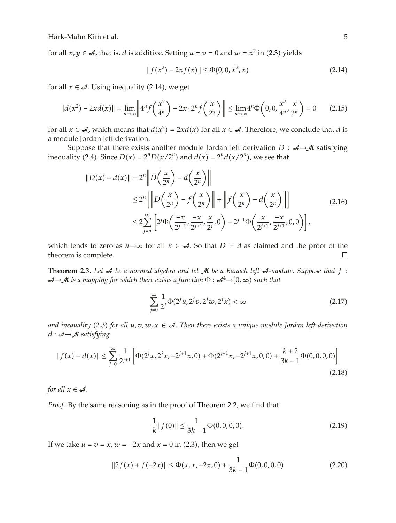Hark-Mahn Kim et al. 5

for all  $x, y \in \mathcal{A}$ , that is, *d* is additive. Setting  $u = v = 0$  and  $w = x^2$  in (2.3) yields

$$
||f(x^2) - 2xf(x)|| \le \Phi(0, 0, x^2, x)
$$
\n(2.14)

for all  $x \in \mathcal{A}$ . Using inequality (2.14), we get

$$
||d(x^{2}) - 2xd(x)|| = \lim_{n \to \infty} \left||4^{n} f\left(\frac{x^{2}}{4^{n}}\right) - 2x \cdot 2^{n} f\left(\frac{x}{2^{n}}\right)\right|| \leq \lim_{n \to \infty} 4^{n} \Phi\left(0, 0, \frac{x^{2}}{4^{n}}, \frac{x}{2^{n}}\right) = 0 \quad (2.15)
$$

for all  $x \in \mathcal{A}$ , which means that  $d(x^2) = 2xd(x)$  for all  $x \in \mathcal{A}$ . Therefore, we conclude that *d* is a module Jordan left derivation.

Suppose that there exists another module Jordan left derivation  $D : \mathcal{A} \rightarrow \mathcal{M}$  satisfying inequality (2.4). Since  $D(x) = 2^n D(x/2^n)$  and  $d(x) = 2^n d(x/2^n)$ , we see that

$$
||D(x) - d(x)|| = 2n \left\| D\left(\frac{x}{2^n}\right) - d\left(\frac{x}{2^n}\right) \right\|
$$
  
\n
$$
\leq 2n \left\| D\left(\frac{x}{2^n}\right) - f\left(\frac{x}{2^n}\right) \right\| + \left\| f\left(\frac{x}{2^n}\right) - d\left(\frac{x}{2^n}\right) \right\| \right\}
$$
  
\n
$$
\leq 2 \sum_{j=n}^{\infty} \left[ 2j \Phi\left(\frac{-x}{2^{j+1}}, \frac{-x}{2^{j+1}}, \frac{x}{2^j}, 0\right) + 2j+1 \Phi\left(\frac{x}{2^{j+1}}, \frac{-x}{2^{j+1}}, 0, 0\right) \right],
$$
\n(2.16)

which tends to zero as  $n \rightarrow \infty$  for all  $x \in \mathcal{A}$ . So that  $D = d$  as claimed and the proof of the theorem is complete. theorem is complete.

**Theorem 2.3.** Let  $\mathcal A$  be a normed algebra and let  $\mathcal M$  be a Banach left  $\mathcal A$ -module. Suppose that  $f$ : A→M *is a mapping for which there exists a function* <sup>Φ</sup> : <sup>A</sup><sup>4</sup>→0*,* <sup>∞</sup> *such that*

$$
\sum_{j=0}^{\infty} \frac{1}{2^j} \Phi(2^j u, 2^j v, 2^j w, 2^j x) < \infty \tag{2.17}
$$

and inequality (2.3) for all  $u, v, w, x \in \mathcal{A}$ . Then there exists a unique module Jordan left derivation *<sup>d</sup>* : A→M *satisfying*

$$
||f(x) - d(x)|| \le \sum_{j=0}^{\infty} \frac{1}{2^{j+1}} \left[ \Phi(2^j x, 2^j x, -2^{j+1} x, 0) + \Phi(2^{j+1} x, -2^{j+1} x, 0, 0) + \frac{k+2}{3k-1} \Phi(0, 0, 0, 0) \right]
$$
\n(2.18)

*for all*  $x \in \mathcal{A}$ *.* 

*Proof.* By the same reasoning as in the proof of Theorem 2.2, we find that

$$
\frac{1}{k}||f(0)|| \le \frac{1}{3k - 1}\Phi(0, 0, 0, 0). \tag{2.19}
$$

If we take  $u = v = x$ ,  $w = -2x$  and  $x = 0$  in (2.3), then we get

$$
||2f(x) + f(-2x)|| \le \Phi(x, x, -2x, 0) + \frac{1}{3k - 1}\Phi(0, 0, 0, 0)
$$
\n(2.20)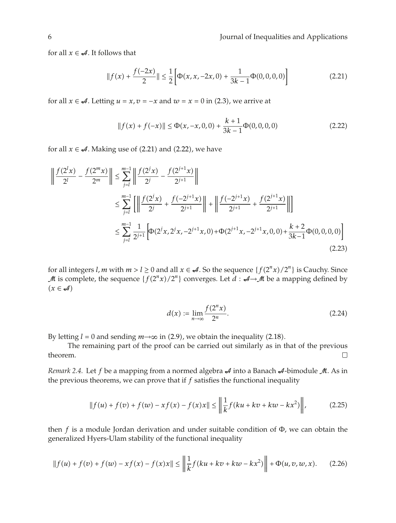for all  $x \in \mathcal{A}$ . It follows that

$$
||f(x) + \frac{f(-2x)}{2}|| \le \frac{1}{2} \left[ \Phi(x, x, -2x, 0) + \frac{1}{3k - 1} \Phi(0, 0, 0, 0) \right]
$$
 (2.21)

for all  $x \in \mathcal{A}$ . Letting  $u = x$ ,  $v = -x$  and  $w = x = 0$  in (2.3), we arrive at

$$
||f(x) + f(-x)|| \le \Phi(x, -x, 0, 0) + \frac{k+1}{3k-1}\Phi(0, 0, 0, 0)
$$
\n(2.22)

for all  $x \in \mathcal{A}$ . Making use of (2.21) and (2.22), we have

$$
\left\| \frac{f(2^l x)}{2^l} - \frac{f(2^m x)}{2^m} \right\| \le \sum_{j=l}^{m-1} \left\| \frac{f(2^j x)}{2^j} - \frac{f(2^{j+1} x)}{2^{j+1}} \right\|
$$
  

$$
\le \sum_{j=l}^{m-1} \left[ \left\| \frac{f(2^j x)}{2^j} + \frac{f(-2^{j+1} x)}{2^{j+1}} \right\| + \left\| \frac{f(-2^{j+1} x)}{2^{j+1}} + \frac{f(2^{j+1} x)}{2^{j+1}} \right\| \right]
$$
  

$$
\le \sum_{j=l}^{m-1} \frac{1}{2^{j+1}} \left[ \Phi(2^j x, 2^j x, -2^{j+1} x, 0) + \Phi(2^{j+1} x, -2^{j+1} x, 0, 0) + \frac{k+2}{3k-1} \Phi(0, 0, 0, 0) \right]
$$
  
(2.23)

for all integers *l, m* with  $m > l \ge 0$  and all  $x \in \mathcal{A}$ . So the sequence  $\{f(2^n x)/2^n\}$  is Cauchy. Since M is complete, the sequence  $\{f(2^n x)/2^n\}$  converges. Let  $d : A \rightarrow M$  be a mapping defined by  $(x \in \mathcal{A})$ 

$$
d(x) := \lim_{n \to \infty} \frac{f(2^n x)}{2^n}.
$$
 (2.24)

By letting  $l = 0$  and sending  $m \rightarrow \infty$  in (2.9), we obtain the inequality (2.18).

The remaining part of the proof can be carried out similarly as in that of the previous theorem.  $\Box$ 

*Remark 2.4.* Let *f* be a mapping from a normed algebra  $\mathcal A$  into a Banach  $\mathcal A$ -bimodule  $\mathcal M$ . As in the previous theorems, we can prove that if *f* satisfies the functional inequality

$$
||f(u) + f(v) + f(w) - xf(x) - f(x)x|| \le \left\| \frac{1}{k} f(ku + kv + kw - kx^2) \right\|,
$$
 (2.25)

then *f* is a module Jordan derivation and under suitable condition of Φ*,* we can obtain the generalized Hyers-Ulam stability of the functional inequality

$$
||f(u) + f(v) + f(w) - xf(x) - f(x)x|| \le \left\| \frac{1}{k} f(ku + kv + kw - kx^2) \right\| + \Phi(u, v, w, x). \tag{2.26}
$$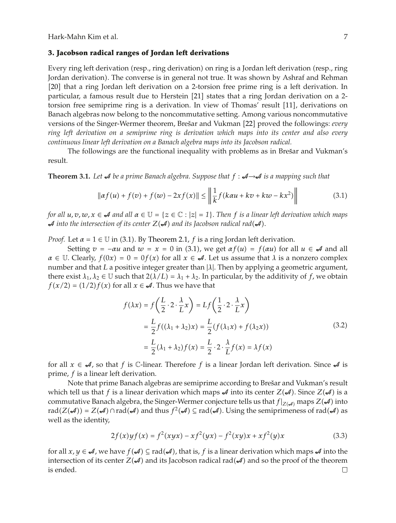Hark-Mahn Kim et al. 7

#### **3. Jacobson radical ranges of Jordan left derivations**

Every ring left derivation (resp., ring derivation) on ring is a Jordan left derivation (resp., ring Jordan derivation. The converse is in general not true. It was shown by Ashraf and Rehman [20] that a ring Jordan left derivation on a 2-torsion free prime ring is a left derivation. In particular, a famous result due to Herstein [21] states that a ring Jordan derivation on a 2torsion free semiprime ring is a derivation. In view of Thomas' result [11], derivations on Banach algebras now belong to the noncommutative setting. Among various noncommutative versions of the Singer-Wermer theorem, Brešar and Vukman [22] proved the followings: *every ring left derivation on a semiprime ring is derivation which maps into its center and also every continuous linear left derivation on a Banach algebra maps into its Jacobson radical.*

The followings are the functional inequality with problems as in Brešar and Vukman's result.

**Theorem 3.1.** Let *A* be a prime Banach algebra. Suppose that  $f : A \rightarrow A$  is a mapping such that

$$
\|\alpha f(u) + f(v) + f(w) - 2xf(x)\| \le \left\|\frac{1}{k}f(k\alpha u + kv + kw - kx^2)\right\|
$$
 (3.1)

*for all*  $u, v, w, x \in \mathcal{A}$  *and all*  $\alpha \in \mathbb{U} = \{z \in \mathbb{C} : |z| = 1\}$ . Then *f is a linear left derivation which maps*  $\mathcal A$  *into the intersection of its center*  $Z(\mathcal A)$  *and its Jacobson radical rad* $(\mathcal A)$ *.* 

*Proof.* Let  $\alpha = 1 \in \mathbb{U}$  in (3.1). By Theorem 2.1, *f* is a ring Jordan left derivation.

Setting  $v = -\alpha u$  and  $w = x = 0$  in (3.1), we get  $\alpha f(u) = f(\alpha u)$  for all  $u \in \mathcal{A}$  and all  $\alpha \in \mathbb{U}$ . Clearly,  $f(0x) = 0 = 0f(x)$  for all  $x \in \mathcal{A}$ . Let us assume that  $\lambda$  is a nonzero complex number and that *L* a positive integer greater than  $|\lambda|$ . Then by applying a geometric argument, there exist  $\lambda_1, \lambda_2 \in \mathbb{U}$  such that  $2(\lambda/L) = \lambda_1 + \lambda_2$ . In particular, by the additivity of *f*, we obtain  $f(x/2) = (1/2)f(x)$  for all  $x \in \mathcal{A}$ . Thus we have that

$$
f(\lambda x) = f\left(\frac{L}{2} \cdot 2 \cdot \frac{\lambda}{L} x\right) = Lf\left(\frac{1}{2} \cdot 2 \cdot \frac{\lambda}{L} x\right)
$$
  

$$
= \frac{L}{2} f((\lambda_1 + \lambda_2) x) = \frac{L}{2} (f(\lambda_1 x) + f(\lambda_2 x))
$$
  

$$
= \frac{L}{2} (\lambda_1 + \lambda_2) f(x) = \frac{L}{2} \cdot 2 \cdot \frac{\lambda}{L} f(x) = \lambda f(x)
$$
 (3.2)

for all  $x \in \mathcal{A}$ , so that *f* is *C*-linear. Therefore *f* is a linear Jordan left derivation. Since  $\mathcal{A}$  is prime, *f* is a linear left derivation.

Note that prime Banach algebras are semiprime according to Brešar and Vukman's result which tell us that *f* is a linear derivation which maps  $\mathcal A$  into its center  $Z(\mathcal A)$ . Since  $Z(\mathcal A)$  is a commutative Banach algebra, the Singer-Wermer conjecture tells us that  $f|_{Z(\mathcal{A})}$  maps  $Z(\mathcal{A})$  into  $rad(Z(\mathcal{A})) = Z(\mathcal{A}) \cap rad(\mathcal{A})$  and thus  $f^2(\mathcal{A}) \subseteq rad(\mathcal{A})$ . Using the semiprimeness of  $rad(\mathcal{A})$  as well as the identity,

$$
2f(x) y f(x) = f^{2}(xyx) - xf^{2}(yx) - f^{2}(xy)x + xf^{2}(y)x
$$
\n(3.3)

for all  $x, y \in A$ , we have  $f(A) \subseteq rad(A)$ , that is,  $f$  is a linear derivation which maps  $A$  into the intersection of its center  $Z(\mathcal{A})$  and its Jacobson radical rad $(\mathcal{A})$  and so the proof of the theorem is ended.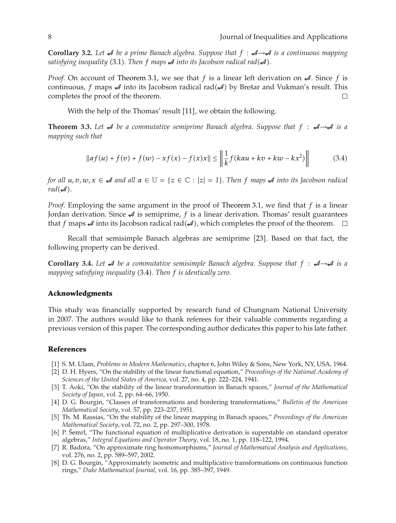**Corollary 3.2.** Let  $\mathcal A$  be a prime Banach algebra. Suppose that  $f : \mathcal A \rightarrow \mathcal A$  is a continuous mapping satisfying inequality  $(3.1)$ . Then  $f$  maps  $A$  into its Jacobson radical rad $(\mathcal{A})$ .

*Proof.* On account of Theorem 3.1, we see that f is a linear left derivation on  $\mathcal{A}$ . Since f is continuous,  $f$  maps  $\mathcal A$  into its Jacobson radical rad( $\mathcal A$ ) by Brešar and Vukman's result. This completes the proof of the theorem.

With the help of the Thomas' result [11], we obtain the following.

**Theorem 3.3.** Let  $\mathcal A$  be a commutative semiprime Banach algebra. Suppose that  $f : \mathcal A \rightarrow \mathcal A$  is a *mapping such that*

$$
\|\alpha f(u) + f(v) + f(w) - xf(x) - f(x)x\| \le \left\|\frac{1}{k}f(k\alpha u + kv + kw - kx^2)\right\| \tag{3.4}
$$

*for all*  $u, v, w, x \in \mathcal{A}$  *and all*  $\alpha \in \mathbb{U} = \{z \in \mathbb{C} : |z| = 1\}$ . *Then f maps*  $\mathcal{A}$  *into its Jacobson radical*  $rad(\mathcal{A})$ .

*Proof.* Employing the same argument in the proof of Theorem 3.1, we find that *f* is a linear Jordan derivation. Since  $\mathcal A$  is semiprime,  $f$  is a linear derivation. Thomas' result guarantees that  $f$  maps  $\mathcal A$  into its Jacobson radical rad( $\mathcal A$ ), which completes the proof of the theorem.

Recall that semisimple Banach algebras are semiprime [23]. Based on that fact, the following property can be derived.

**Corollary 3.4.** Let  $\mathcal A$  be a commutative semisimple Banach algebra. Suppose that  $f : \mathcal A \rightarrow \mathcal A$  is a mapping satisfying inequality (3.4). Then f is identically zero.

### **Acknowledgments**

This study was financially supported by research fund of Chungnam National University in 2007. The authors would like to thank referees for their valuable comments regarding a previous version of this paper. The corresponding author dedicates this paper to his late father.

## **References**

- 1 S. M. Ulam, *Problems in Modern Mathematics*, chapter 6, John Wiley & Sons, New York, NY, USA, 1964.
- 2 D. H. Hyers, "On the stability of the linear functional equation," *Proceedings of the National Academy of Sciences of the United States of America*, vol. 27, no. 4, pp. 222–224, 1941.
- 3 T. Aoki, "On the stability of the linear transformation in Banach spaces," *Journal of the Mathematical Society of Japan*, vol. 2, pp. 64–66, 1950.
- 4 D. G. Bourgin, "Classes of transformations and bordering transformations," *Bulletin of the American Mathematical Society*, vol. 57, pp. 223–237, 1951.
- 5 Th. M. Rassias, "On the stability of the linear mapping in Banach spaces," *Proceedings of the American Mathematical Society*, vol. 72, no. 2, pp. 297–300, 1978.
- [6] P. Šemrl, "The functional equation of multiplicative derivation is superstable on standard operator algebras," *Integral Equations and Operator Theory*, vol. 18, no. 1, pp. 118–122, 1994.
- 7 R. Badora, "On approximate ring homomorphisms," *Journal of Mathematical Analysis and Applications*, vol. 276, no. 2, pp. 589–597, 2002.
- [8] D. G. Bourgin, "Approximately isometric and multiplicative transformations on continuous function rings," *Duke Mathematical Journal*, vol. 16, pp. 385–397, 1949.